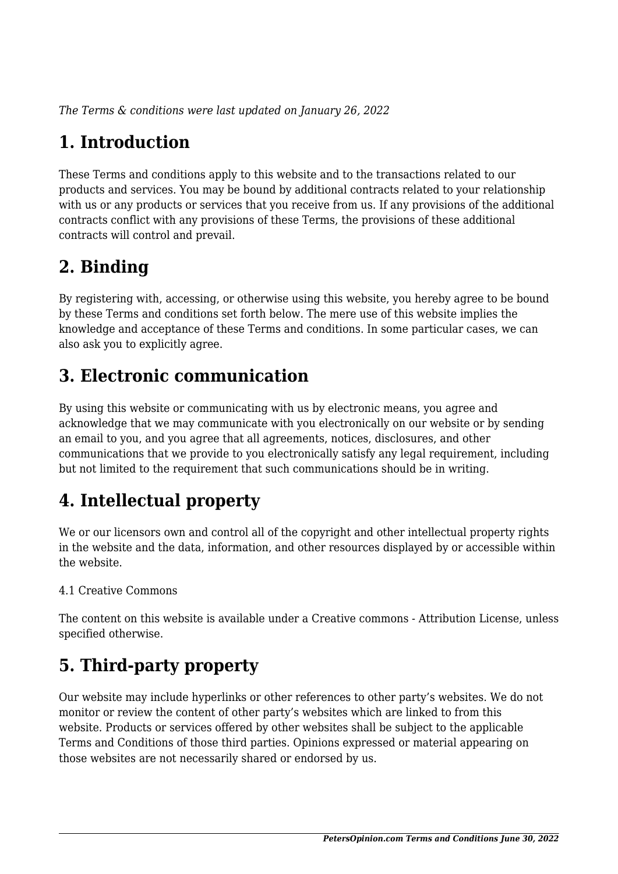*The Terms & conditions were last updated on January 26, 2022*

# **1. Introduction**

These Terms and conditions apply to this website and to the transactions related to our products and services. You may be bound by additional contracts related to your relationship with us or any products or services that you receive from us. If any provisions of the additional contracts conflict with any provisions of these Terms, the provisions of these additional contracts will control and prevail.

## **2. Binding**

By registering with, accessing, or otherwise using this website, you hereby agree to be bound by these Terms and conditions set forth below. The mere use of this website implies the knowledge and acceptance of these Terms and conditions. In some particular cases, we can also ask you to explicitly agree.

# **3. Electronic communication**

By using this website or communicating with us by electronic means, you agree and acknowledge that we may communicate with you electronically on our website or by sending an email to you, and you agree that all agreements, notices, disclosures, and other communications that we provide to you electronically satisfy any legal requirement, including but not limited to the requirement that such communications should be in writing.

# **4. Intellectual property**

We or our licensors own and control all of the copyright and other intellectual property rights in the website and the data, information, and other resources displayed by or accessible within the website.

#### 4.1 Creative Commons

The content on this website is available under a Creative commons - Attribution License, unless specified otherwise.

# **5. Third-party property**

Our website may include hyperlinks or other references to other party's websites. We do not monitor or review the content of other party's websites which are linked to from this website. Products or services offered by other websites shall be subject to the applicable Terms and Conditions of those third parties. Opinions expressed or material appearing on those websites are not necessarily shared or endorsed by us.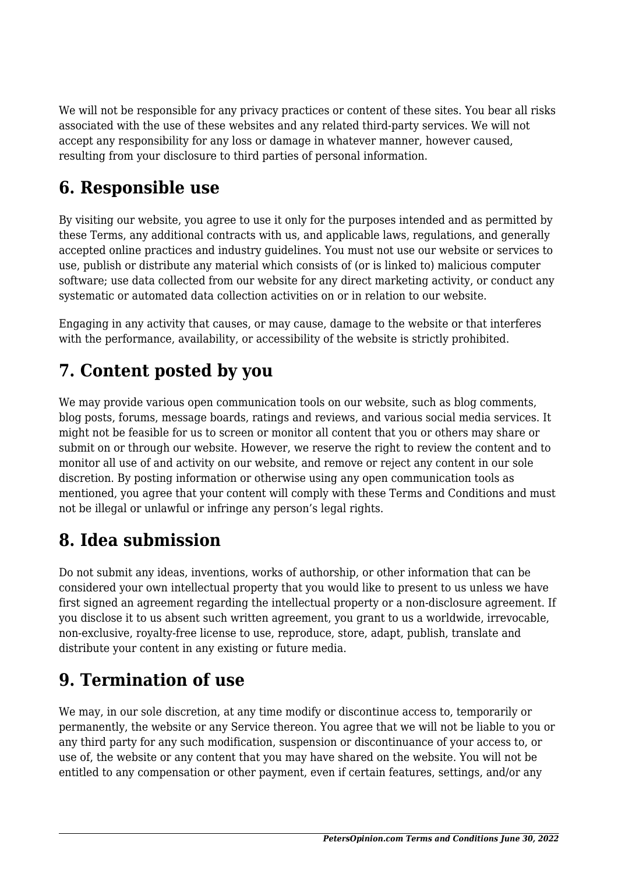We will not be responsible for any privacy practices or content of these sites. You bear all risks associated with the use of these websites and any related third-party services. We will not accept any responsibility for any loss or damage in whatever manner, however caused, resulting from your disclosure to third parties of personal information.

### **6. Responsible use**

By visiting our website, you agree to use it only for the purposes intended and as permitted by these Terms, any additional contracts with us, and applicable laws, regulations, and generally accepted online practices and industry guidelines. You must not use our website or services to use, publish or distribute any material which consists of (or is linked to) malicious computer software; use data collected from our website for any direct marketing activity, or conduct any systematic or automated data collection activities on or in relation to our website.

Engaging in any activity that causes, or may cause, damage to the website or that interferes with the performance, availability, or accessibility of the website is strictly prohibited.

### **7. Content posted by you**

We may provide various open communication tools on our website, such as blog comments, blog posts, forums, message boards, ratings and reviews, and various social media services. It might not be feasible for us to screen or monitor all content that you or others may share or submit on or through our website. However, we reserve the right to review the content and to monitor all use of and activity on our website, and remove or reject any content in our sole discretion. By posting information or otherwise using any open communication tools as mentioned, you agree that your content will comply with these Terms and Conditions and must not be illegal or unlawful or infringe any person's legal rights.

## **8. Idea submission**

Do not submit any ideas, inventions, works of authorship, or other information that can be considered your own intellectual property that you would like to present to us unless we have first signed an agreement regarding the intellectual property or a non-disclosure agreement. If you disclose it to us absent such written agreement, you grant to us a worldwide, irrevocable, non-exclusive, royalty-free license to use, reproduce, store, adapt, publish, translate and distribute your content in any existing or future media.

## **9. Termination of use**

We may, in our sole discretion, at any time modify or discontinue access to, temporarily or permanently, the website or any Service thereon. You agree that we will not be liable to you or any third party for any such modification, suspension or discontinuance of your access to, or use of, the website or any content that you may have shared on the website. You will not be entitled to any compensation or other payment, even if certain features, settings, and/or any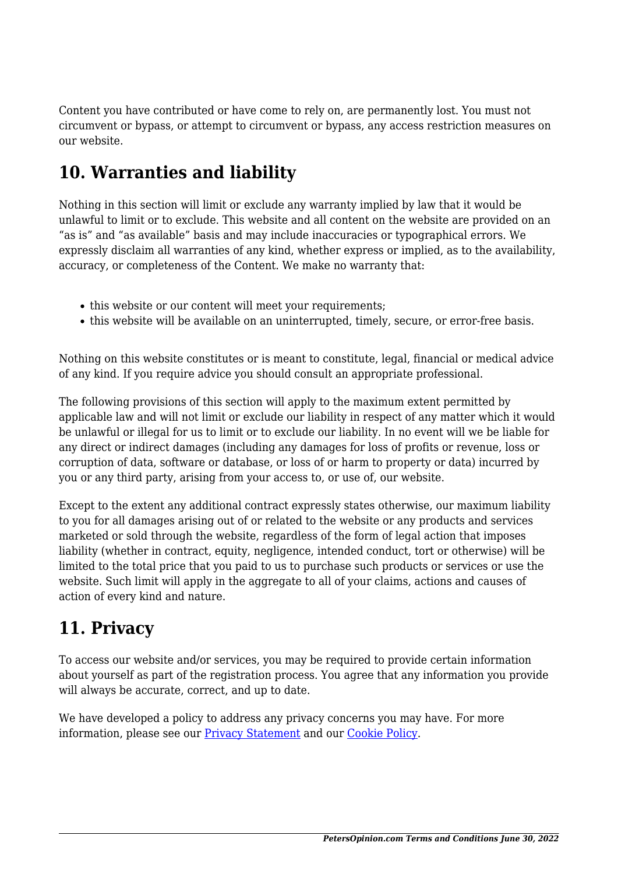Content you have contributed or have come to rely on, are permanently lost. You must not circumvent or bypass, or attempt to circumvent or bypass, any access restriction measures on our website.

## **10. Warranties and liability**

Nothing in this section will limit or exclude any warranty implied by law that it would be unlawful to limit or to exclude. This website and all content on the website are provided on an "as is" and "as available" basis and may include inaccuracies or typographical errors. We expressly disclaim all warranties of any kind, whether express or implied, as to the availability, accuracy, or completeness of the Content. We make no warranty that:

- this website or our content will meet your requirements:
- this website will be available on an uninterrupted, timely, secure, or error-free basis.

Nothing on this website constitutes or is meant to constitute, legal, financial or medical advice of any kind. If you require advice you should consult an appropriate professional.

The following provisions of this section will apply to the maximum extent permitted by applicable law and will not limit or exclude our liability in respect of any matter which it would be unlawful or illegal for us to limit or to exclude our liability. In no event will we be liable for any direct or indirect damages (including any damages for loss of profits or revenue, loss or corruption of data, software or database, or loss of or harm to property or data) incurred by you or any third party, arising from your access to, or use of, our website.

Except to the extent any additional contract expressly states otherwise, our maximum liability to you for all damages arising out of or related to the website or any products and services marketed or sold through the website, regardless of the form of legal action that imposes liability (whether in contract, equity, negligence, intended conduct, tort or otherwise) will be limited to the total price that you paid to us to purchase such products or services or use the website. Such limit will apply in the aggregate to all of your claims, actions and causes of action of every kind and nature.

### **11. Privacy**

To access our website and/or services, you may be required to provide certain information about yourself as part of the registration process. You agree that any information you provide will always be accurate, correct, and up to date.

We have developed a policy to address any privacy concerns you may have. For more information, please see our [Privacy Statement](https://petersopinion.com/privacy-policy) and our [Cookie Policy](https://petersopinion.com/cookie-policy-eu/).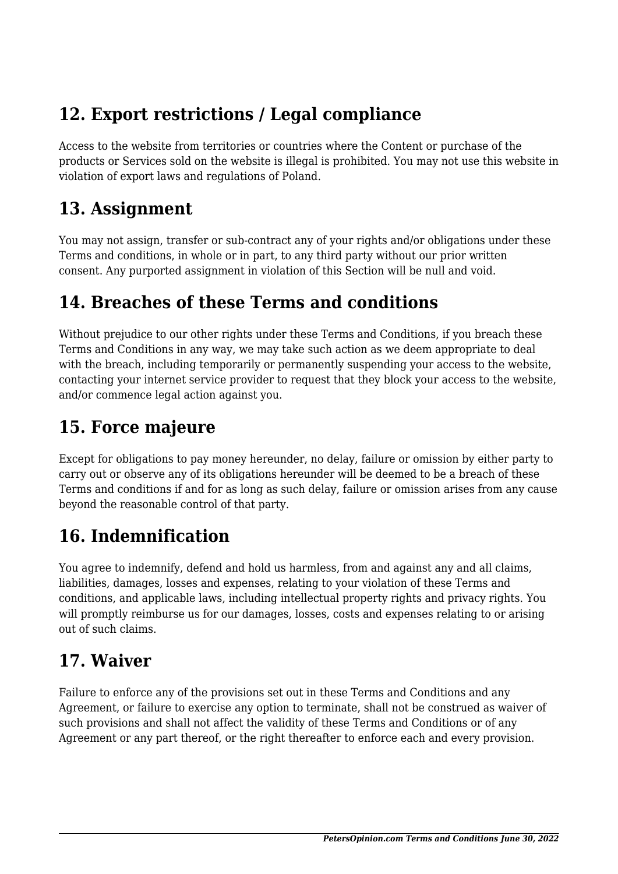## **12. Export restrictions / Legal compliance**

Access to the website from territories or countries where the Content or purchase of the products or Services sold on the website is illegal is prohibited. You may not use this website in violation of export laws and regulations of Poland.

### **13. Assignment**

You may not assign, transfer or sub-contract any of your rights and/or obligations under these Terms and conditions, in whole or in part, to any third party without our prior written consent. Any purported assignment in violation of this Section will be null and void.

### **14. Breaches of these Terms and conditions**

Without prejudice to our other rights under these Terms and Conditions, if you breach these Terms and Conditions in any way, we may take such action as we deem appropriate to deal with the breach, including temporarily or permanently suspending your access to the website, contacting your internet service provider to request that they block your access to the website, and/or commence legal action against you.

## **15. Force majeure**

Except for obligations to pay money hereunder, no delay, failure or omission by either party to carry out or observe any of its obligations hereunder will be deemed to be a breach of these Terms and conditions if and for as long as such delay, failure or omission arises from any cause beyond the reasonable control of that party.

# **16. Indemnification**

You agree to indemnify, defend and hold us harmless, from and against any and all claims, liabilities, damages, losses and expenses, relating to your violation of these Terms and conditions, and applicable laws, including intellectual property rights and privacy rights. You will promptly reimburse us for our damages, losses, costs and expenses relating to or arising out of such claims.

## **17. Waiver**

Failure to enforce any of the provisions set out in these Terms and Conditions and any Agreement, or failure to exercise any option to terminate, shall not be construed as waiver of such provisions and shall not affect the validity of these Terms and Conditions or of any Agreement or any part thereof, or the right thereafter to enforce each and every provision.